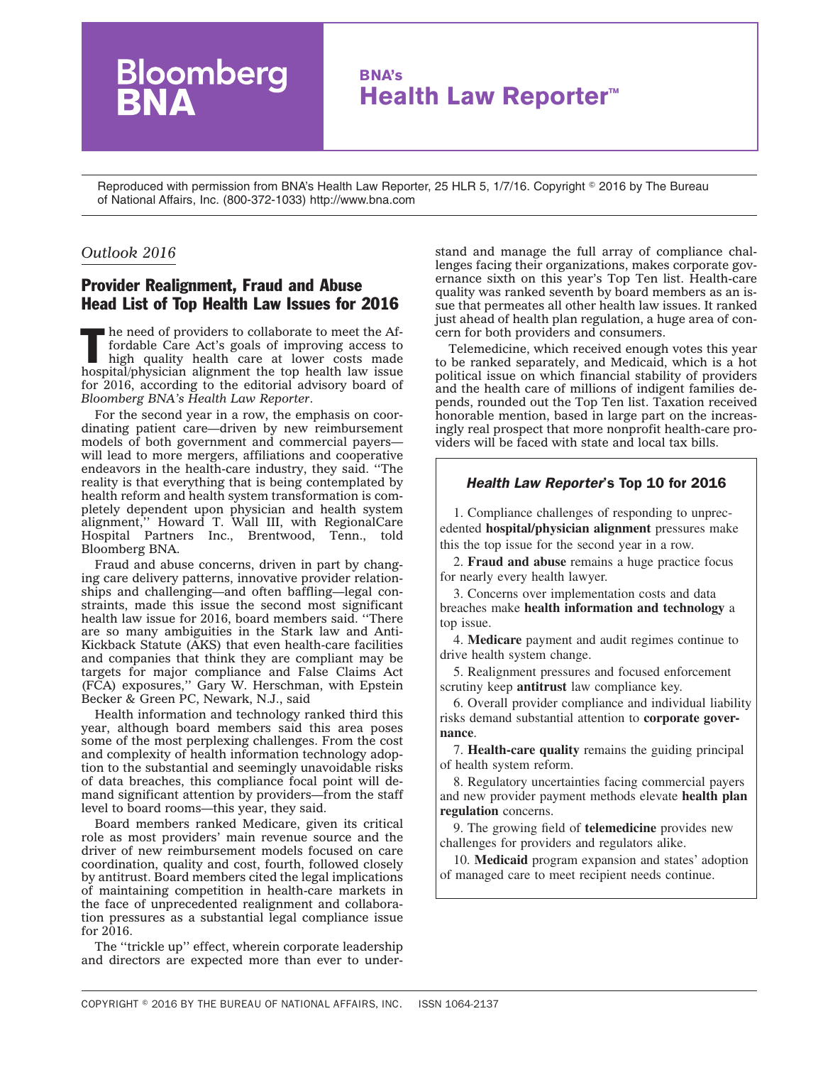# **BNA's Health Law Reporter™**

Reproduced with permission from BNA's Health Law Reporter, 25 HLR 5, 1/7/16. Copyright © 2016 by The Bureau of National Affairs, Inc. (800-372-1033) http://www.bna.com

## *Outlook 2016*

# Provider Realignment, Fraud and Abuse Head List of Top Health Law Issues for 2016

Bloomberg

 $\blacksquare$  he need of providers to collaborate to meet the Affordable Care Act's goals of improving access to high quality health care at lower costs made hospital/physician alignment the top health law issue for 2016, according to the editorial advisory board of *Bloomberg BNA's Health Law Reporter*.

For the second year in a row, the emphasis on coordinating patient care—driven by new reimbursement models of both government and commercial payers will lead to more mergers, affiliations and cooperative endeavors in the health-care industry, they said. ''The reality is that everything that is being contemplated by health reform and health system transformation is completely dependent upon physician and health system alignment,'' Howard T. Wall III, with RegionalCare Hospital Partners Inc., Brentwood, Tenn., told Bloomberg BNA.

Fraud and abuse concerns, driven in part by changing care delivery patterns, innovative provider relationships and challenging—and often baffling—legal constraints, made this issue the second most significant health law issue for 2016, board members said. ''There are so many ambiguities in the Stark law and Anti-Kickback Statute (AKS) that even health-care facilities and companies that think they are compliant may be targets for major compliance and False Claims Act (FCA) exposures,'' Gary W. Herschman, with Epstein Becker & Green PC, Newark, N.J., said

Health information and technology ranked third this year, although board members said this area poses some of the most perplexing challenges. From the cost and complexity of health information technology adoption to the substantial and seemingly unavoidable risks of data breaches, this compliance focal point will demand significant attention by providers—from the staff level to board rooms—this year, they said.

Board members ranked Medicare, given its critical role as most providers' main revenue source and the driver of new reimbursement models focused on care coordination, quality and cost, fourth, followed closely by antitrust. Board members cited the legal implications of maintaining competition in health-care markets in the face of unprecedented realignment and collaboration pressures as a substantial legal compliance issue for 2016.

The ''trickle up'' effect, wherein corporate leadership and directors are expected more than ever to understand and manage the full array of compliance challenges facing their organizations, makes corporate governance sixth on this year's Top Ten list. Health-care quality was ranked seventh by board members as an issue that permeates all other health law issues. It ranked just ahead of health plan regulation, a huge area of concern for both providers and consumers.

Telemedicine, which received enough votes this year to be ranked separately, and Medicaid, which is a hot political issue on which financial stability of providers and the health care of millions of indigent families depends, rounded out the Top Ten list. Taxation received honorable mention, based in large part on the increasingly real prospect that more nonprofit health-care providers will be faced with state and local tax bills.

# *Health Law Reporter*'s Top 10 for 2016

1. Compliance challenges of responding to unprecedented **hospital/physician alignment** pressures make this the top issue for the second year in a row.

2. **Fraud and abuse** remains a huge practice focus for nearly every health lawyer.

3. Concerns over implementation costs and data breaches make **health information and technology** a top issue.

4. **Medicare** payment and audit regimes continue to drive health system change.

5. Realignment pressures and focused enforcement scrutiny keep **antitrust** law compliance key.

6. Overall provider compliance and individual liability risks demand substantial attention to **corporate governance**.

7. **Health-care quality** remains the guiding principal of health system reform.

8. Regulatory uncertainties facing commercial payers and new provider payment methods elevate **health plan regulation** concerns.

9. The growing field of **telemedicine** provides new challenges for providers and regulators alike.

10. **Medicaid** program expansion and states' adoption of managed care to meet recipient needs continue.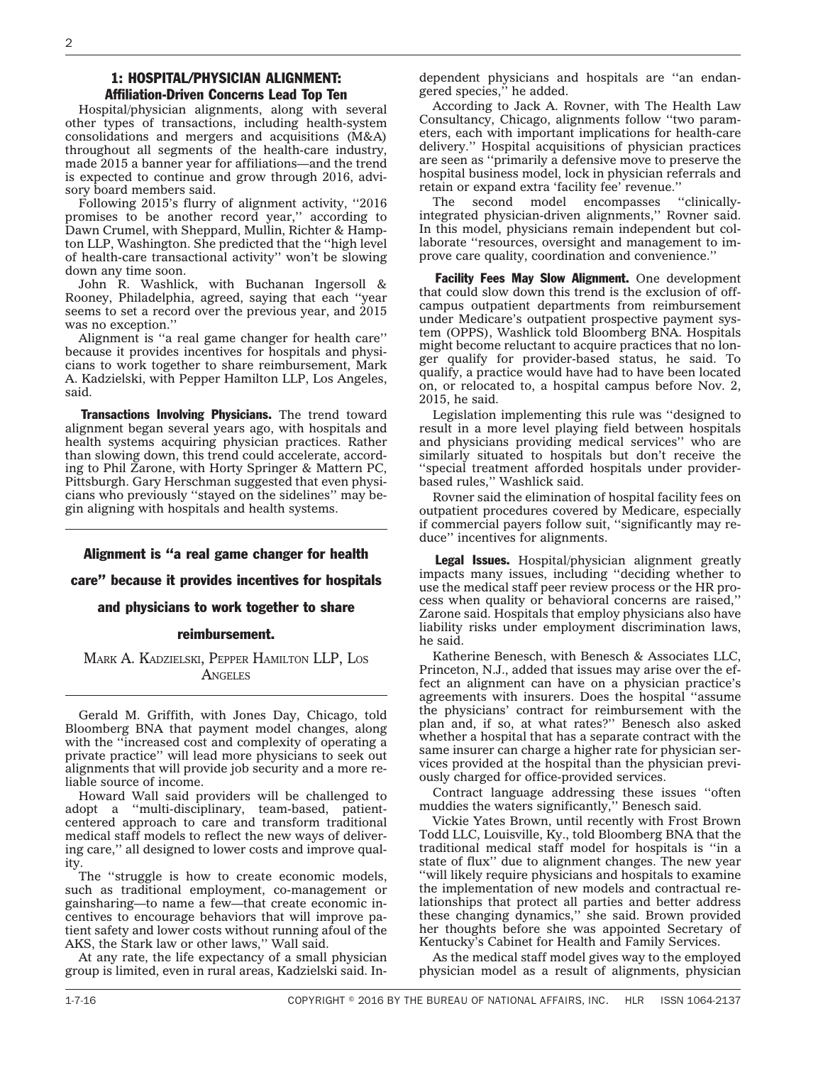### 1: HOSPITAL/PHYSICIAN ALIGNMENT: Affiliation-Driven Concerns Lead Top Ten

Hospital/physician alignments, along with several other types of transactions, including health-system consolidations and mergers and acquisitions (M&A) throughout all segments of the health-care industry, made 2015 a banner year for affiliations—and the trend is expected to continue and grow through 2016, advisory board members said.

Following 2015's flurry of alignment activity, ''2016 promises to be another record year,'' according to Dawn Crumel, with Sheppard, Mullin, Richter & Hampton LLP, Washington. She predicted that the ''high level of health-care transactional activity'' won't be slowing down any time soon.

John R. Washlick, with Buchanan Ingersoll & Rooney, Philadelphia, agreed, saying that each ''year seems to set a record over the previous year, and 2015 was no exception.''

Alignment is ''a real game changer for health care'' because it provides incentives for hospitals and physicians to work together to share reimbursement, Mark A. Kadzielski, with Pepper Hamilton LLP, Los Angeles, said.

Transactions Involving Physicians. The trend toward alignment began several years ago, with hospitals and health systems acquiring physician practices. Rather than slowing down, this trend could accelerate, according to Phil Zarone, with Horty Springer & Mattern PC, Pittsburgh. Gary Herschman suggested that even physicians who previously ''stayed on the sidelines'' may begin aligning with hospitals and health systems.

### Alignment is ''a real game changer for health

care'' because it provides incentives for hospitals

#### and physicians to work together to share

### reimbursement.

MARK A. KADZIELSKI, PEPPER HAMILTON LLP, LOS **ANGELES** 

Gerald M. Griffith, with Jones Day, Chicago, told Bloomberg BNA that payment model changes, along with the "increased cost and complexity of operating a private practice'' will lead more physicians to seek out alignments that will provide job security and a more reliable source of income.

Howard Wall said providers will be challenged to adopt a ''multi-disciplinary, team-based, patientcentered approach to care and transform traditional medical staff models to reflect the new ways of delivering care,'' all designed to lower costs and improve quality.

The ''struggle is how to create economic models, such as traditional employment, co-management or gainsharing—to name a few—that create economic incentives to encourage behaviors that will improve patient safety and lower costs without running afoul of the AKS, the Stark law or other laws,'' Wall said.

At any rate, the life expectancy of a small physician group is limited, even in rural areas, Kadzielski said. Independent physicians and hospitals are ''an endangered species," he added.

According to Jack A. Rovner, with The Health Law Consultancy, Chicago, alignments follow ''two parameters, each with important implications for health-care delivery.'' Hospital acquisitions of physician practices are seen as ''primarily a defensive move to preserve the hospital business model, lock in physician referrals and retain or expand extra 'facility fee' revenue.''

The second model encompasses ''clinicallyintegrated physician-driven alignments,'' Rovner said. In this model, physicians remain independent but collaborate ''resources, oversight and management to improve care quality, coordination and convenience.''

Facility Fees May Slow Alignment. One development that could slow down this trend is the exclusion of offcampus outpatient departments from reimbursement under Medicare's outpatient prospective payment system (OPPS), Washlick told Bloomberg BNA. Hospitals might become reluctant to acquire practices that no longer qualify for provider-based status, he said. To qualify, a practice would have had to have been located on, or relocated to, a hospital campus before Nov. 2, 2015, he said.

Legislation implementing this rule was ''designed to result in a more level playing field between hospitals and physicians providing medical services'' who are similarly situated to hospitals but don't receive the ''special treatment afforded hospitals under providerbased rules,'' Washlick said.

Rovner said the elimination of hospital facility fees on outpatient procedures covered by Medicare, especially if commercial payers follow suit, ''significantly may reduce'' incentives for alignments.

Legal Issues. Hospital/physician alignment greatly impacts many issues, including ''deciding whether to use the medical staff peer review process or the HR process when quality or behavioral concerns are raised,'' Zarone said. Hospitals that employ physicians also have liability risks under employment discrimination laws, he said.

Katherine Benesch, with Benesch & Associates LLC, Princeton, N.J., added that issues may arise over the effect an alignment can have on a physician practice's agreements with insurers. Does the hospital ''assume the physicians' contract for reimbursement with the plan and, if so, at what rates?'' Benesch also asked whether a hospital that has a separate contract with the same insurer can charge a higher rate for physician services provided at the hospital than the physician previously charged for office-provided services.

Contract language addressing these issues ''often muddies the waters significantly,'' Benesch said.

Vickie Yates Brown, until recently with Frost Brown Todd LLC, Louisville, Ky., told Bloomberg BNA that the traditional medical staff model for hospitals is ''in a state of flux'' due to alignment changes. The new year ''will likely require physicians and hospitals to examine the implementation of new models and contractual relationships that protect all parties and better address these changing dynamics,'' she said. Brown provided her thoughts before she was appointed Secretary of Kentucky's Cabinet for Health and Family Services.

As the medical staff model gives way to the employed physician model as a result of alignments, physician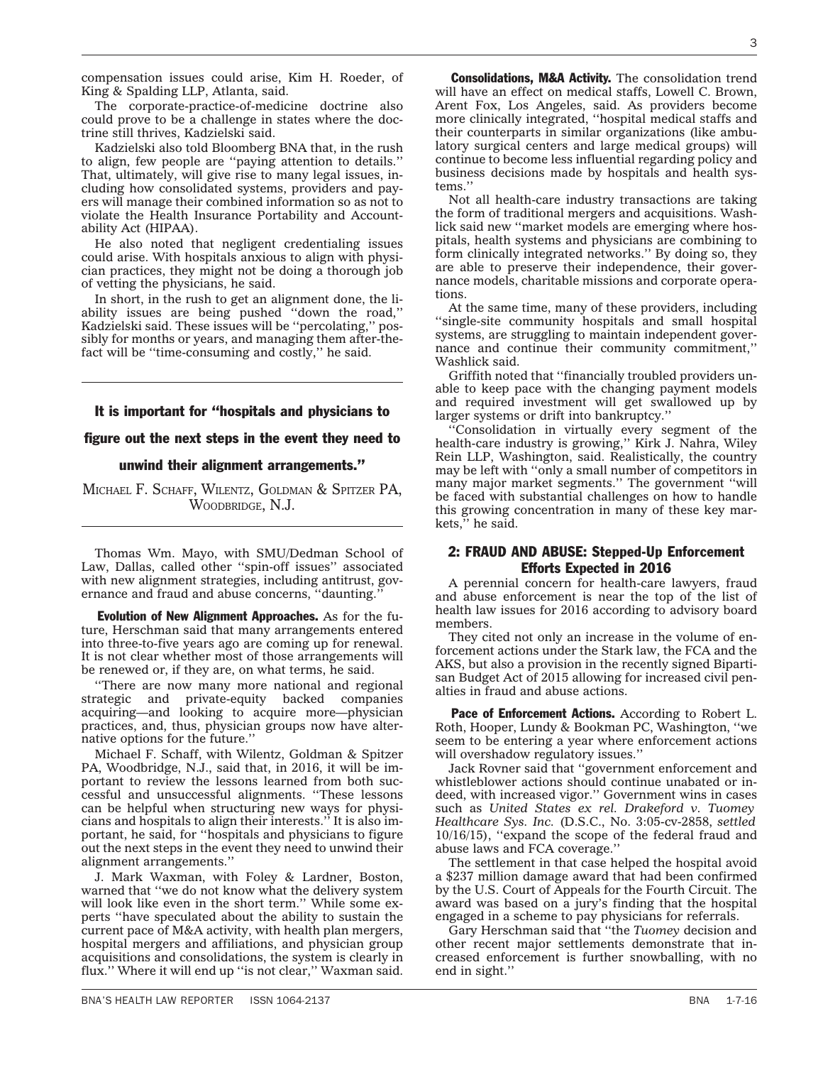compensation issues could arise, Kim H. Roeder, of King & Spalding LLP, Atlanta, said.

The corporate-practice-of-medicine doctrine also could prove to be a challenge in states where the doctrine still thrives, Kadzielski said.

Kadzielski also told Bloomberg BNA that, in the rush to align, few people are ''paying attention to details.'' That, ultimately, will give rise to many legal issues, including how consolidated systems, providers and payers will manage their combined information so as not to violate the Health Insurance Portability and Accountability Act (HIPAA).

He also noted that negligent credentialing issues could arise. With hospitals anxious to align with physician practices, they might not be doing a thorough job of vetting the physicians, he said.

In short, in the rush to get an alignment done, the liability issues are being pushed ''down the road,'' Kadzielski said. These issues will be ''percolating,'' possibly for months or years, and managing them after-thefact will be ''time-consuming and costly,'' he said.

#### It is important for ''hospitals and physicians to

#### figure out the next steps in the event they need to

### unwind their alignment arrangements.''

MICHAEL F. SCHAFF, WILENTZ, GOLDMAN & SPITZER PA, WOODBRIDGE, N.J.

Thomas Wm. Mayo, with SMU/Dedman School of Law, Dallas, called other ''spin-off issues'' associated with new alignment strategies, including antitrust, governance and fraud and abuse concerns, "daunting.

Evolution of New Alignment Approaches. As for the future, Herschman said that many arrangements entered into three-to-five years ago are coming up for renewal. It is not clear whether most of those arrangements will be renewed or, if they are, on what terms, he said.

''There are now many more national and regional strategic and private-equity backed companies acquiring—and looking to acquire more—physician practices, and, thus, physician groups now have alternative options for the future.''

Michael F. Schaff, with Wilentz, Goldman & Spitzer PA, Woodbridge, N.J., said that, in 2016, it will be important to review the lessons learned from both successful and unsuccessful alignments. ''These lessons can be helpful when structuring new ways for physicians and hospitals to align their interests.'' It is also important, he said, for ''hospitals and physicians to figure out the next steps in the event they need to unwind their alignment arrangements.''

J. Mark Waxman, with Foley & Lardner, Boston, warned that ''we do not know what the delivery system will look like even in the short term.'' While some experts ''have speculated about the ability to sustain the current pace of M&A activity, with health plan mergers, hospital mergers and affiliations, and physician group acquisitions and consolidations, the system is clearly in flux.'' Where it will end up ''is not clear,'' Waxman said.

**Consolidations, M&A Activity.** The consolidation trend will have an effect on medical staffs, Lowell C. Brown, Arent Fox, Los Angeles, said. As providers become more clinically integrated, ''hospital medical staffs and their counterparts in similar organizations (like ambulatory surgical centers and large medical groups) will continue to become less influential regarding policy and business decisions made by hospitals and health systems.''

Not all health-care industry transactions are taking the form of traditional mergers and acquisitions. Washlick said new ''market models are emerging where hospitals, health systems and physicians are combining to form clinically integrated networks.'' By doing so, they are able to preserve their independence, their governance models, charitable missions and corporate operations.

At the same time, many of these providers, including ''single-site community hospitals and small hospital systems, are struggling to maintain independent governance and continue their community commitment,'' Washlick said.

Griffith noted that ''financially troubled providers unable to keep pace with the changing payment models and required investment will get swallowed up by larger systems or drift into bankruptcy.''

''Consolidation in virtually every segment of the health-care industry is growing,'' Kirk J. Nahra, Wiley Rein LLP, Washington, said. Realistically, the country may be left with ''only a small number of competitors in many major market segments.'' The government ''will be faced with substantial challenges on how to handle this growing concentration in many of these key markets,'' he said.

### 2: FRAUD AND ABUSE: Stepped-Up Enforcement Efforts Expected in 2016

A perennial concern for health-care lawyers, fraud and abuse enforcement is near the top of the list of health law issues for 2016 according to advisory board members.

They cited not only an increase in the volume of enforcement actions under the Stark law, the FCA and the AKS, but also a provision in the recently signed Bipartisan Budget Act of 2015 allowing for increased civil penalties in fraud and abuse actions.

Pace of Enforcement Actions. According to Robert L. Roth, Hooper, Lundy & Bookman PC, Washington, ''we seem to be entering a year where enforcement actions will overshadow regulatory issues.''

Jack Rovner said that ''government enforcement and whistleblower actions should continue unabated or indeed, with increased vigor.'' Government wins in cases such as *[United States ex rel. Drakeford v. Tuomey](http://src.bna.com/CM) [Healthcare Sys. Inc.](http://src.bna.com/CM)* (D.S.C., No. 3:05-cv-2858, *settled* 10/16/15), ''expand the scope of the federal fraud and abuse laws and FCA coverage.''

The settlement in that case helped the hospital avoid a \$237 million damage award that had been confirmed by the U.S. Court of Appeals for the Fourth Circuit. The award was based on a jury's finding that the hospital engaged in a scheme to pay physicians for referrals.

Gary Herschman said that ''the *Tuomey* decision and other recent major settlements demonstrate that increased enforcement is further snowballing, with no end in sight.''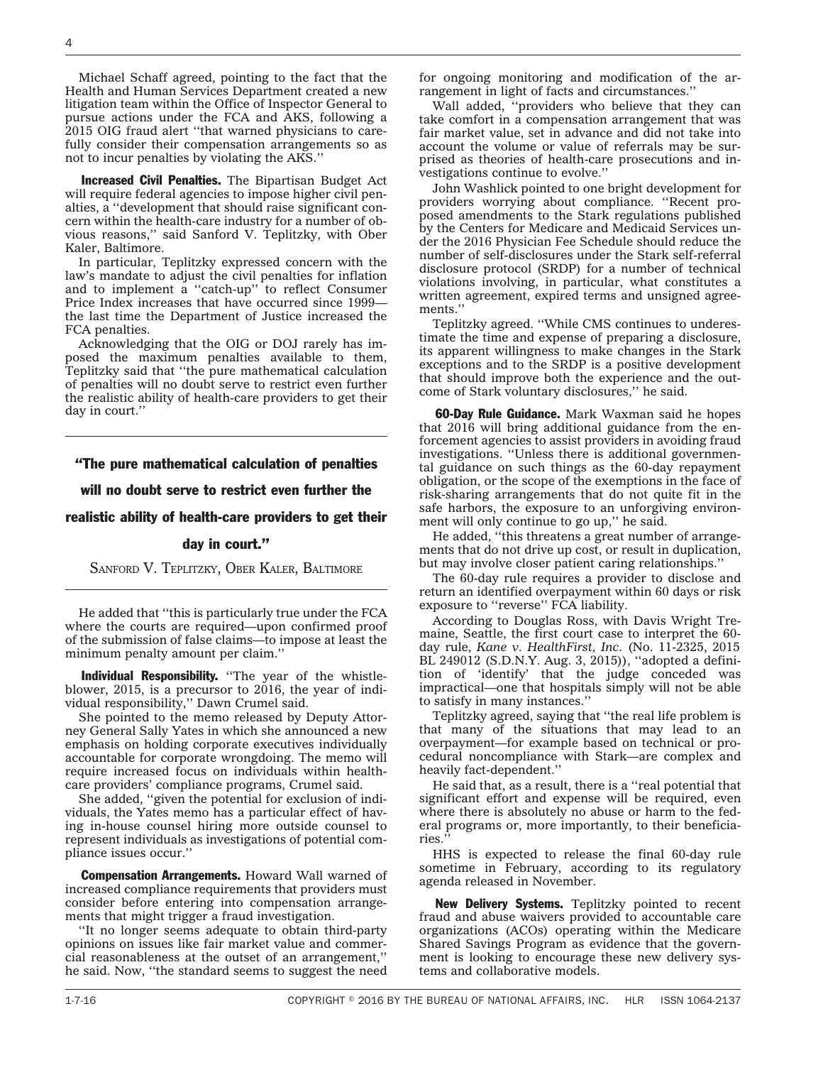Michael Schaff agreed, pointing to the fact that the Health and Human Services Department created a new litigation team within the Office of Inspector General to pursue actions under the FCA and AKS, following a 2015 OIG fraud alert ''that warned physicians to carefully consider their compensation arrangements so as not to incur penalties by violating the AKS.''

Increased Civil Penalties. The Bipartisan Budget Act will require federal agencies to impose higher civil penalties, a ''development that should raise significant concern within the health-care industry for a number of obvious reasons,'' said Sanford V. Teplitzky, with Ober Kaler, Baltimore.

In particular, Teplitzky expressed concern with the law's mandate to adjust the civil penalties for inflation and to implement a ''catch-up'' to reflect Consumer Price Index increases that have occurred since 1999 the last time the Department of Justice increased the FCA penalties.

Acknowledging that the OIG or DOJ rarely has imposed the maximum penalties available to them, Teplitzky said that ''the pure mathematical calculation of penalties will no doubt serve to restrict even further the realistic ability of health-care providers to get their day in court.''

### ''The pure mathematical calculation of penalties

### will no doubt serve to restrict even further the

### realistic ability of health-care providers to get their

#### day in court.''

SANFORD V. TEPLITZKY, OBER KALER, BALTIMORE

He added that ''this is particularly true under the FCA where the courts are required—upon confirmed proof of the submission of false claims—to impose at least the minimum penalty amount per claim.''

Individual Responsibility. "The year of the whistleblower, 2015, is a precursor to 2016, the year of individual responsibility,'' Dawn Crumel said.

She pointed to the memo released by Deputy Attorney General Sally Yates in which she announced a new emphasis on holding corporate executives individually accountable for corporate wrongdoing. The memo will require increased focus on individuals within healthcare providers' compliance programs, Crumel said.

She added, ''given the potential for exclusion of individuals, the Yates memo has a particular effect of having in-house counsel hiring more outside counsel to represent individuals as investigations of potential compliance issues occur.''

**Compensation Arrangements.** Howard Wall warned of increased compliance requirements that providers must consider before entering into compensation arrangements that might trigger a fraud investigation.

''It no longer seems adequate to obtain third-party opinions on issues like fair market value and commercial reasonableness at the outset of an arrangement,'' he said. Now, ''the standard seems to suggest the need

for ongoing monitoring and modification of the arrangement in light of facts and circumstances.''

Wall added, ''providers who believe that they can take comfort in a compensation arrangement that was fair market value, set in advance and did not take into account the volume or value of referrals may be surprised as theories of health-care prosecutions and investigations continue to evolve.''

John Washlick pointed to one bright development for providers worrying about compliance. ''Recent proposed amendments to the Stark regulations published by the Centers for Medicare and Medicaid Services under the 2016 Physician Fee Schedule should reduce the number of self-disclosures under the Stark self-referral disclosure protocol (SRDP) for a number of technical violations involving, in particular, what constitutes a written agreement, expired terms and unsigned agreements.''

Teplitzky agreed. ''While CMS continues to underestimate the time and expense of preparing a disclosure, its apparent willingness to make changes in the Stark exceptions and to the SRDP is a positive development that should improve both the experience and the outcome of Stark voluntary disclosures,'' he said.

**60-Day Rule Guidance.** Mark Waxman said he hopes that 2016 will bring additional guidance from the enforcement agencies to assist providers in avoiding fraud investigations. ''Unless there is additional governmental guidance on such things as the 60-day repayment obligation, or the scope of the exemptions in the face of risk-sharing arrangements that do not quite fit in the safe harbors, the exposure to an unforgiving environment will only continue to go up," he said.

He added, ''this threatens a great number of arrangements that do not drive up cost, or result in duplication, but may involve closer patient caring relationships.''

The 60-day rule requires a provider to disclose and return an identified overpayment within 60 days or risk exposure to ''reverse'' FCA liability.

According to Douglas Ross, with Davis Wright Tremaine, Seattle, the first court case to interpret the 60 day rule, *[Kane v. HealthFirst, Inc.](http://www.bloomberglaw.com/public/document/ROBERT_P_KANE_By_and_on_Behalf_of_the_United_States_of_America_Re)* (No. 11-2325, 2015 BL 249012 (S.D.N.Y. Aug. 3, 2015)), ''adopted a definition of 'identify' that the judge conceded was impractical—one that hospitals simply will not be able to satisfy in many instances.''

Teplitzky agreed, saying that ''the real life problem is that many of the situations that may lead to an overpayment—for example based on technical or procedural noncompliance with Stark—are complex and heavily fact-dependent.''

He said that, as a result, there is a ''real potential that significant effort and expense will be required, even where there is absolutely no abuse or harm to the federal programs or, more importantly, to their beneficiaries.''

HHS is expected to release the final 60-day rule sometime in February, according to its regulatory agenda released in November.

New Delivery Systems. Teplitzky pointed to recent fraud and abuse waivers provided to accountable care organizations (ACOs) operating within the Medicare Shared Savings Program as evidence that the government is looking to encourage these new delivery systems and collaborative models.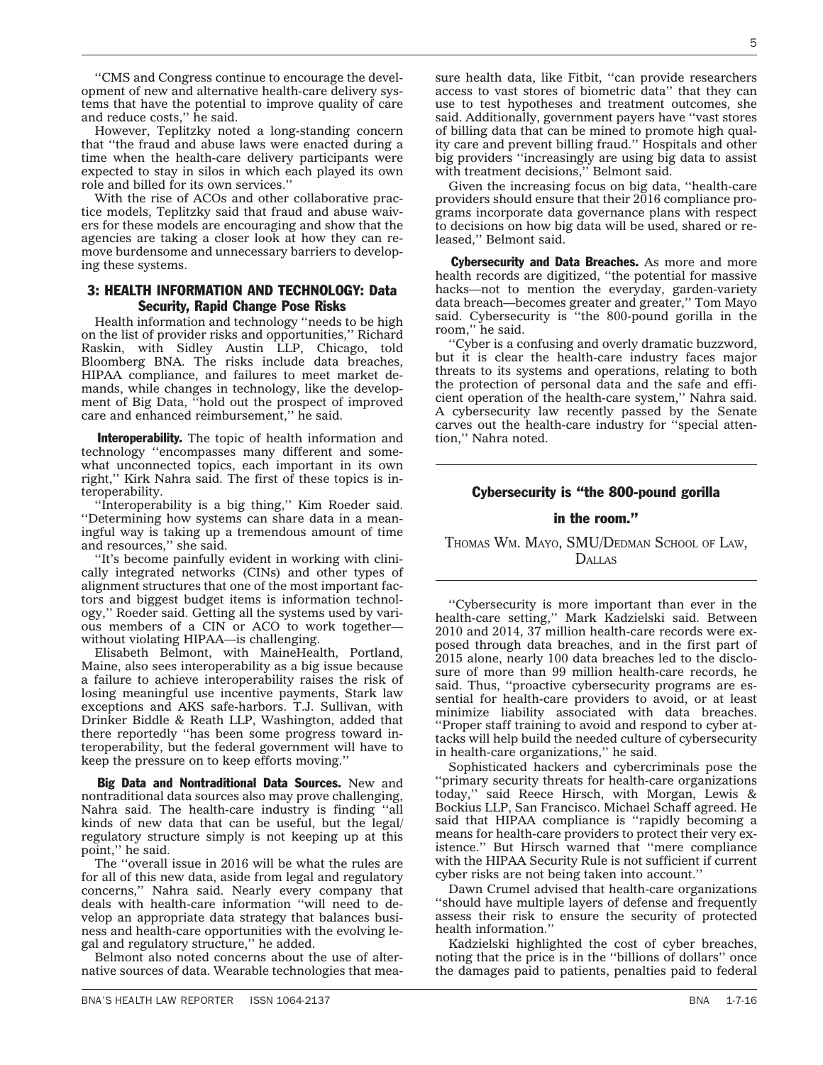''CMS and Congress continue to encourage the development of new and alternative health-care delivery systems that have the potential to improve quality of care and reduce costs,'' he said.

However, Teplitzky noted a long-standing concern that ''the fraud and abuse laws were enacted during a time when the health-care delivery participants were expected to stay in silos in which each played its own role and billed for its own services.''

With the rise of ACOs and other collaborative practice models, Teplitzky said that fraud and abuse waivers for these models are encouraging and show that the agencies are taking a closer look at how they can remove burdensome and unnecessary barriers to developing these systems.

### 3: HEALTH INFORMATION AND TECHNOLOGY: Data Security, Rapid Change Pose Risks

Health information and technology ''needs to be high on the list of provider risks and opportunities,'' Richard Raskin, with Sidley Austin LLP, Chicago, told Bloomberg BNA. The risks include data breaches, HIPAA compliance, and failures to meet market demands, while changes in technology, like the development of Big Data, ''hold out the prospect of improved care and enhanced reimbursement,'' he said.

Interoperability. The topic of health information and technology ''encompasses many different and somewhat unconnected topics, each important in its own right,'' Kirk Nahra said. The first of these topics is interoperability.

"Interoperability is a big thing," Kim Roeder said. ''Determining how systems can share data in a meaningful way is taking up a tremendous amount of time and resources,'' she said.

''It's become painfully evident in working with clinically integrated networks (CINs) and other types of alignment structures that one of the most important factors and biggest budget items is information technology,'' Roeder said. Getting all the systems used by various members of a CIN or ACO to work together without violating HIPAA—is challenging.

Elisabeth Belmont, with MaineHealth, Portland, Maine, also sees interoperability as a big issue because a failure to achieve interoperability raises the risk of losing meaningful use incentive payments, Stark law exceptions and AKS safe-harbors. T.J. Sullivan, with Drinker Biddle & Reath LLP, Washington, added that there reportedly ''has been some progress toward interoperability, but the federal government will have to keep the pressure on to keep efforts moving.''

Big Data and Nontraditional Data Sources. New and nontraditional data sources also may prove challenging, Nahra said. The health-care industry is finding ''all kinds of new data that can be useful, but the legal/ regulatory structure simply is not keeping up at this point,'' he said.

The ''overall issue in 2016 will be what the rules are for all of this new data, aside from legal and regulatory concerns,'' Nahra said. Nearly every company that deals with health-care information ''will need to develop an appropriate data strategy that balances business and health-care opportunities with the evolving legal and regulatory structure,'' he added.

Belmont also noted concerns about the use of alternative sources of data. Wearable technologies that mea-

sure health data, like Fitbit, ''can provide researchers access to vast stores of biometric data'' that they can use to test hypotheses and treatment outcomes, she said. Additionally, government payers have ''vast stores of billing data that can be mined to promote high quality care and prevent billing fraud.'' Hospitals and other big providers ''increasingly are using big data to assist with treatment decisions,'' Belmont said.

Given the increasing focus on big data, ''health-care providers should ensure that their 2016 compliance programs incorporate data governance plans with respect to decisions on how big data will be used, shared or released,'' Belmont said.

Cybersecurity and Data Breaches. As more and more health records are digitized, ''the potential for massive hacks—not to mention the everyday, garden-variety data breach—becomes greater and greater,'' Tom Mayo said. Cybersecurity is ''the 800-pound gorilla in the room,'' he said.

''Cyber is a confusing and overly dramatic buzzword, but it is clear the health-care industry faces major threats to its systems and operations, relating to both the protection of personal data and the safe and efficient operation of the health-care system,'' Nahra said. A cybersecurity law recently passed by the Senate carves out the health-care industry for ''special attention,'' Nahra noted.

### Cybersecurity is ''the 800-pound gorilla

### in the room.''

THOMAS WM. MAYO, SMU/DEDMAN SCHOOL OF LAW, DALLAS

''Cybersecurity is more important than ever in the health-care setting,'' Mark Kadzielski said. Between 2010 and 2014, 37 million health-care records were exposed through data breaches, and in the first part of 2015 alone, nearly 100 data breaches led to the disclosure of more than 99 million health-care records, he said. Thus, ''proactive cybersecurity programs are essential for health-care providers to avoid, or at least minimize liability associated with data breaches. ''Proper staff training to avoid and respond to cyber attacks will help build the needed culture of cybersecurity in health-care organizations,'' he said.

Sophisticated hackers and cybercriminals pose the ''primary security threats for health-care organizations today,'' said Reece Hirsch, with Morgan, Lewis & Bockius LLP, San Francisco. Michael Schaff agreed. He said that HIPAA compliance is ''rapidly becoming a means for health-care providers to protect their very existence.'' But Hirsch warned that ''mere compliance with the HIPAA Security Rule is not sufficient if current cyber risks are not being taken into account.''

Dawn Crumel advised that health-care organizations ''should have multiple layers of defense and frequently assess their risk to ensure the security of protected health information.''

Kadzielski highlighted the cost of cyber breaches, noting that the price is in the ''billions of dollars'' once the damages paid to patients, penalties paid to federal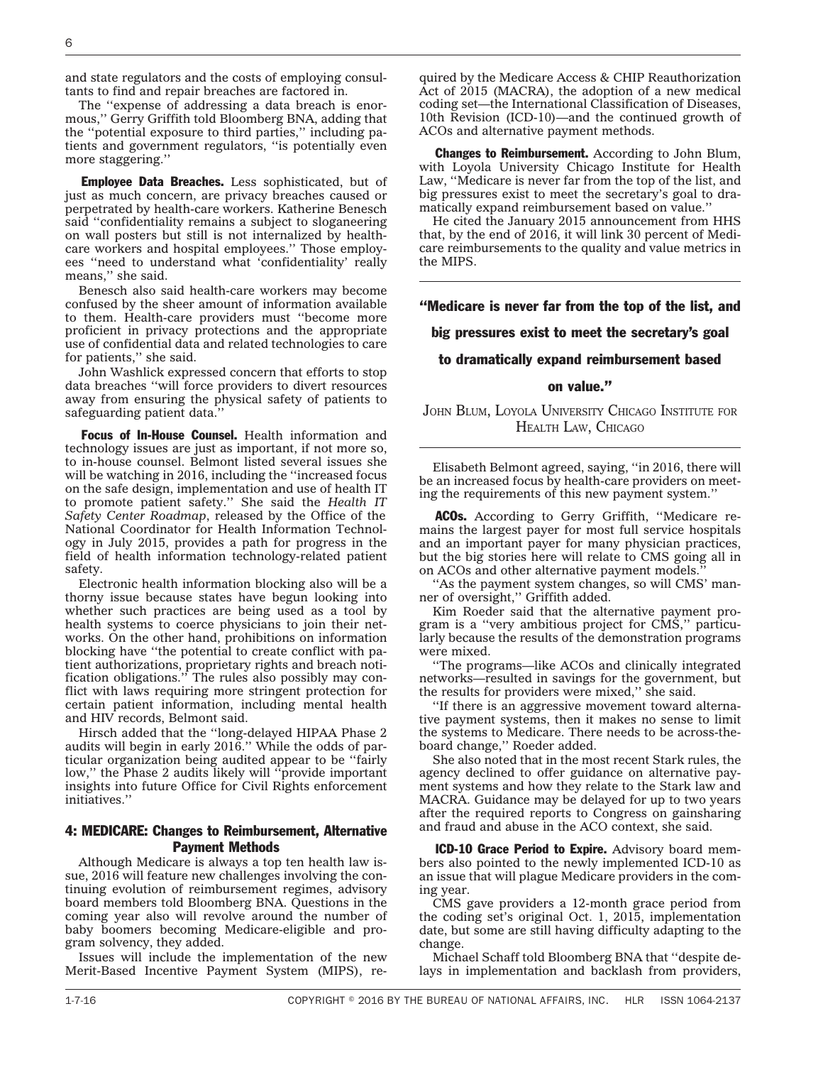and state regulators and the costs of employing consultants to find and repair breaches are factored in.

The ''expense of addressing a data breach is enormous,'' Gerry Griffith told Bloomberg BNA, adding that the ''potential exposure to third parties,'' including patients and government regulators, ''is potentially even more staggering.''

**Employee Data Breaches.** Less sophisticated, but of just as much concern, are privacy breaches caused or perpetrated by health-care workers. Katherine Benesch said ''confidentiality remains a subject to sloganeering on wall posters but still is not internalized by healthcare workers and hospital employees.'' Those employees ''need to understand what 'confidentiality' really means,'' she said.

Benesch also said health-care workers may become confused by the sheer amount of information available to them. Health-care providers must ''become more proficient in privacy protections and the appropriate use of confidential data and related technologies to care for patients,'' she said.

John Washlick expressed concern that efforts to stop data breaches ''will force providers to divert resources away from ensuring the physical safety of patients to safeguarding patient data.''

Focus of In-House Counsel. Health information and technology issues are just as important, if not more so, to in-house counsel. Belmont listed several issues she will be watching in 2016, including the "increased focus on the safe design, implementation and use of health IT to promote patient safety.'' She said the *Health IT Safety Center Roadmap*, released by the Office of the National Coordinator for Health Information Technology in July 2015, provides a path for progress in the field of health information technology-related patient safety.

Electronic health information blocking also will be a thorny issue because states have begun looking into whether such practices are being used as a tool by health systems to coerce physicians to join their networks. On the other hand, prohibitions on information blocking have ''the potential to create conflict with patient authorizations, proprietary rights and breach notification obligations.'' The rules also possibly may conflict with laws requiring more stringent protection for certain patient information, including mental health and HIV records, Belmont said.

Hirsch added that the ''long-delayed HIPAA Phase 2 audits will begin in early 2016.'' While the odds of particular organization being audited appear to be ''fairly low,'' the Phase 2 audits likely will ''provide important insights into future Office for Civil Rights enforcement initiatives.''

### 4: MEDICARE: Changes to Reimbursement, Alternative Payment Methods

Although Medicare is always a top ten health law issue, 2016 will feature new challenges involving the continuing evolution of reimbursement regimes, advisory board members told Bloomberg BNA. Questions in the coming year also will revolve around the number of baby boomers becoming Medicare-eligible and program solvency, they added.

Issues will include the implementation of the new Merit-Based Incentive Payment System (MIPS), required by the Medicare Access & CHIP Reauthorization Act of 2015 (MACRA), the adoption of a new medical coding set—the International Classification of Diseases, 10th Revision (ICD-10)—and the continued growth of ACOs and alternative payment methods.

**Changes to Reimbursement.** According to John Blum, with Loyola University Chicago Institute for Health Law, ''Medicare is never far from the top of the list, and big pressures exist to meet the secretary's goal to dramatically expand reimbursement based on value.''

He cited the January 2015 announcement from HHS that, by the end of 2016, it will link 30 percent of Medicare reimbursements to the quality and value metrics in the MIPS.

### ''Medicare is never far from the top of the list, and

#### big pressures exist to meet the secretary's goal

#### to dramatically expand reimbursement based

### on value.''

JOHN BLUM, LOYOLA UNIVERSITY CHICAGO INSTITUTE FOR HEALTH LAW, CHICAGO

Elisabeth Belmont agreed, saying, ''in 2016, there will be an increased focus by health-care providers on meeting the requirements of this new payment system.''

ACOs. According to Gerry Griffith, "Medicare remains the largest payer for most full service hospitals and an important payer for many physician practices, but the big stories here will relate to CMS going all in on ACOs and other alternative payment models.''

''As the payment system changes, so will CMS' manner of oversight,'' Griffith added.

Kim Roeder said that the alternative payment program is a ''very ambitious project for CMS,'' particularly because the results of the demonstration programs were mixed.

''The programs—like ACOs and clinically integrated networks—resulted in savings for the government, but the results for providers were mixed,'' she said.

''If there is an aggressive movement toward alternative payment systems, then it makes no sense to limit the systems to Medicare. There needs to be across-theboard change,'' Roeder added.

She also noted that in the most recent Stark rules, the agency declined to offer guidance on alternative payment systems and how they relate to the Stark law and MACRA. Guidance may be delayed for up to two years after the required reports to Congress on gainsharing and fraud and abuse in the ACO context, she said.

ICD-10 Grace Period to Expire. Advisory board members also pointed to the newly implemented ICD-10 as an issue that will plague Medicare providers in the coming year.

CMS gave providers a 12-month grace period from the coding set's original Oct. 1, 2015, implementation date, but some are still having difficulty adapting to the change.

Michael Schaff told Bloomberg BNA that ''despite delays in implementation and backlash from providers,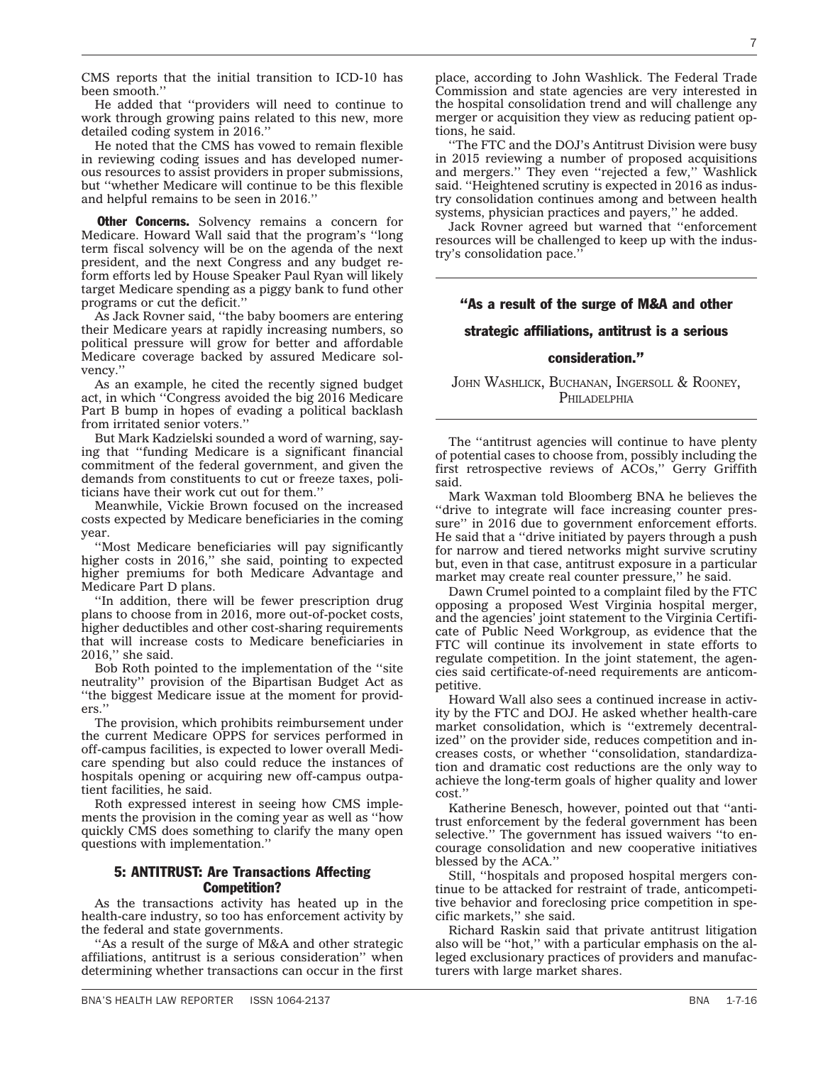CMS reports that the initial transition to ICD-10 has been smooth.''

He added that ''providers will need to continue to work through growing pains related to this new, more detailed coding system in 2016.''

He noted that the CMS has vowed to remain flexible in reviewing coding issues and has developed numerous resources to assist providers in proper submissions, but ''whether Medicare will continue to be this flexible and helpful remains to be seen in 2016.''

**Other Concerns.** Solvency remains a concern for Medicare. Howard Wall said that the program's ''long term fiscal solvency will be on the agenda of the next president, and the next Congress and any budget reform efforts led by House Speaker Paul Ryan will likely target Medicare spending as a piggy bank to fund other programs or cut the deficit.''

As Jack Rovner said, ''the baby boomers are entering their Medicare years at rapidly increasing numbers, so political pressure will grow for better and affordable Medicare coverage backed by assured Medicare solvency.''

As an example, he cited the recently signed budget act, in which ''Congress avoided the big 2016 Medicare Part B bump in hopes of evading a political backlash from irritated senior voters.''

But Mark Kadzielski sounded a word of warning, saying that ''funding Medicare is a significant financial commitment of the federal government, and given the demands from constituents to cut or freeze taxes, politicians have their work cut out for them.''

Meanwhile, Vickie Brown focused on the increased costs expected by Medicare beneficiaries in the coming year.

''Most Medicare beneficiaries will pay significantly higher costs in 2016,'' she said, pointing to expected higher premiums for both Medicare Advantage and Medicare Part D plans.

''In addition, there will be fewer prescription drug plans to choose from in 2016, more out-of-pocket costs, higher deductibles and other cost-sharing requirements that will increase costs to Medicare beneficiaries in 2016,'' she said.

Bob Roth pointed to the implementation of the ''site neutrality'' provision of the Bipartisan Budget Act as ''the biggest Medicare issue at the moment for providers.''

The provision, which prohibits reimbursement under the current Medicare OPPS for services performed in off-campus facilities, is expected to lower overall Medicare spending but also could reduce the instances of hospitals opening or acquiring new off-campus outpatient facilities, he said.

Roth expressed interest in seeing how CMS implements the provision in the coming year as well as ''how quickly CMS does something to clarify the many open questions with implementation.''

### 5: ANTITRUST: Are Transactions Affecting Competition?

As the transactions activity has heated up in the health-care industry, so too has enforcement activity by the federal and state governments.

''As a result of the surge of M&A and other strategic affiliations, antitrust is a serious consideration'' when determining whether transactions can occur in the first

place, according to John Washlick. The Federal Trade Commission and state agencies are very interested in the hospital consolidation trend and will challenge any merger or acquisition they view as reducing patient options, he said.

''The FTC and the DOJ's Antitrust Division were busy in 2015 reviewing a number of proposed acquisitions and mergers.'' They even ''rejected a few,'' Washlick said. ''Heightened scrutiny is expected in 2016 as industry consolidation continues among and between health systems, physician practices and payers,'' he added.

Jack Rovner agreed but warned that ''enforcement resources will be challenged to keep up with the industry's consolidation pace.''

### ''As a result of the surge of M&A and other

#### strategic affiliations, antitrust is a serious

#### consideration.''

JOHN WASHLICK, BUCHANAN, INGERSOLL & ROONEY, **PHILADELPHIA** 

The ''antitrust agencies will continue to have plenty of potential cases to choose from, possibly including the first retrospective reviews of ACOs,'' Gerry Griffith said.

Mark Waxman told Bloomberg BNA he believes the "drive to integrate will face increasing counter pressure'' in 2016 due to government enforcement efforts. He said that a ''drive initiated by payers through a push for narrow and tiered networks might survive scrutiny but, even in that case, antitrust exposure in a particular market may create real counter pressure," he said.

Dawn Crumel pointed to a complaint filed by the FTC opposing a proposed West Virginia hospital merger, and the agencies' joint statement to the Virginia Certificate of Public Need Workgroup, as evidence that the FTC will continue its involvement in state efforts to regulate competition. In the joint statement, the agencies said certificate-of-need requirements are anticompetitive.

Howard Wall also sees a continued increase in activity by the FTC and DOJ. He asked whether health-care market consolidation, which is ''extremely decentralized'' on the provider side, reduces competition and increases costs, or whether ''consolidation, standardization and dramatic cost reductions are the only way to achieve the long-term goals of higher quality and lower cost.''

Katherine Benesch, however, pointed out that ''antitrust enforcement by the federal government has been selective.'' The government has issued waivers ''to encourage consolidation and new cooperative initiatives blessed by the ACA.''

Still, ''hospitals and proposed hospital mergers continue to be attacked for restraint of trade, anticompetitive behavior and foreclosing price competition in specific markets,'' she said.

Richard Raskin said that private antitrust litigation also will be ''hot,'' with a particular emphasis on the alleged exclusionary practices of providers and manufacturers with large market shares.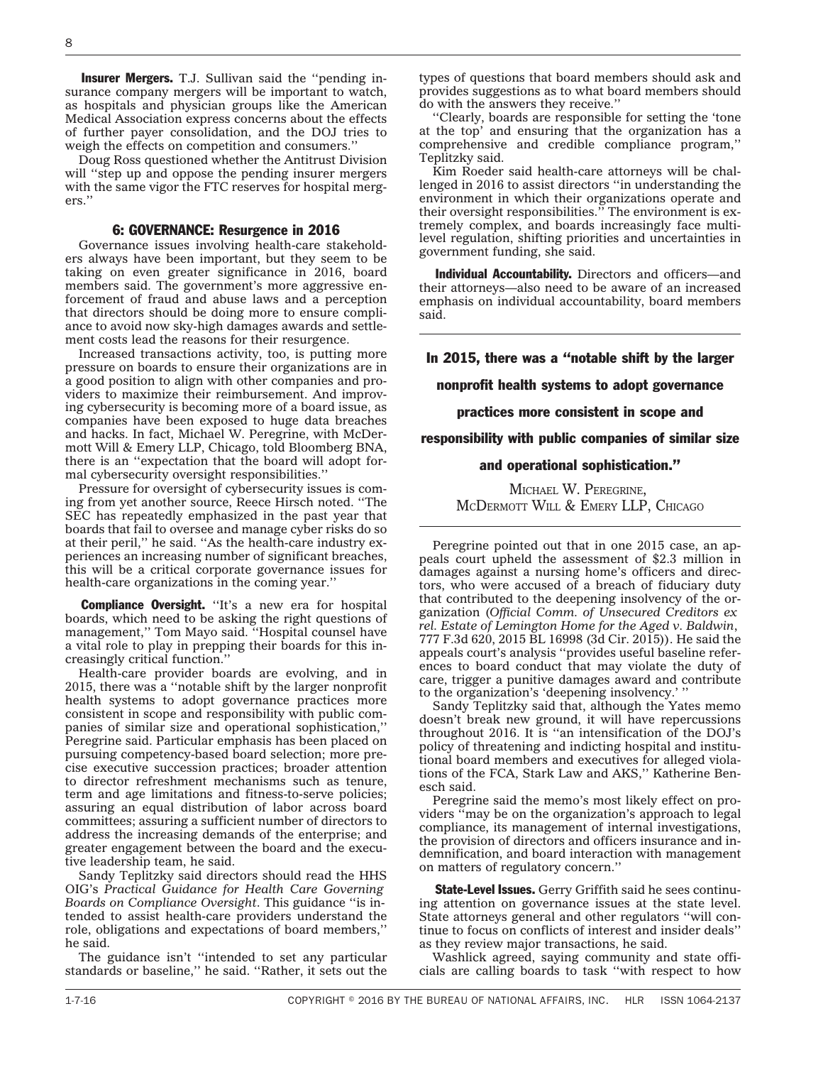**Insurer Mergers.** T.J. Sullivan said the "pending insurance company mergers will be important to watch, as hospitals and physician groups like the American Medical Association express concerns about the effects of further payer consolidation, and the DOJ tries to weigh the effects on competition and consumers.''

Doug Ross questioned whether the Antitrust Division will "step up and oppose the pending insurer mergers" with the same vigor the FTC reserves for hospital mergers.''

#### 6: GOVERNANCE: Resurgence in 2016

Governance issues involving health-care stakeholders always have been important, but they seem to be taking on even greater significance in 2016, board members said. The government's more aggressive enforcement of fraud and abuse laws and a perception that directors should be doing more to ensure compliance to avoid now sky-high damages awards and settlement costs lead the reasons for their resurgence.

Increased transactions activity, too, is putting more pressure on boards to ensure their organizations are in a good position to align with other companies and providers to maximize their reimbursement. And improving cybersecurity is becoming more of a board issue, as companies have been exposed to huge data breaches and hacks. In fact, Michael W. Peregrine, with McDermott Will & Emery LLP, Chicago, told Bloomberg BNA, there is an ''expectation that the board will adopt formal cybersecurity oversight responsibilities.''

Pressure for oversight of cybersecurity issues is coming from yet another source, Reece Hirsch noted. ''The SEC has repeatedly emphasized in the past year that boards that fail to oversee and manage cyber risks do so at their peril,'' he said. ''As the health-care industry experiences an increasing number of significant breaches, this will be a critical corporate governance issues for health-care organizations in the coming year.''

**Compliance Oversight.** "It's a new era for hospital boards, which need to be asking the right questions of management,'' Tom Mayo said. ''Hospital counsel have a vital role to play in prepping their boards for this increasingly critical function.''

Health-care provider boards are evolving, and in 2015, there was a ''notable shift by the larger nonprofit health systems to adopt governance practices more consistent in scope and responsibility with public companies of similar size and operational sophistication,'' Peregrine said. Particular emphasis has been placed on pursuing competency-based board selection; more precise executive succession practices; broader attention to director refreshment mechanisms such as tenure, term and age limitations and fitness-to-serve policies; assuring an equal distribution of labor across board committees; assuring a sufficient number of directors to address the increasing demands of the enterprise; and greater engagement between the board and the executive leadership team, he said.

Sandy Teplitzky said directors should read the HHS OIG's *Practical Guidance for Health Care Governing Boards on Compliance Oversight*. This guidance ''is intended to assist health-care providers understand the role, obligations and expectations of board members,'' he said.

The guidance isn't ''intended to set any particular standards or baseline,'' he said. ''Rather, it sets out the

types of questions that board members should ask and provides suggestions as to what board members should do with the answers they receive.''

''Clearly, boards are responsible for setting the 'tone at the top' and ensuring that the organization has a comprehensive and credible compliance program,'' Teplitzky said.

Kim Roeder said health-care attorneys will be challenged in 2016 to assist directors ''in understanding the environment in which their organizations operate and their oversight responsibilities.'' The environment is extremely complex, and boards increasingly face multilevel regulation, shifting priorities and uncertainties in government funding, she said.

Individual Accountability. Directors and officers—and their attorneys—also need to be aware of an increased emphasis on individual accountability, board members said.

In 2015, there was a ''notable shift by the larger

nonprofit health systems to adopt governance

practices more consistent in scope and

responsibility with public companies of similar size

### and operational sophistication.''

MICHAEL W. PEREGRINE, MCDERMOTT WILL & EMERY LLP, CHICAGO

Peregrine pointed out that in one 2015 case, an appeals court upheld the assessment of \$2.3 million in damages against a nursing home's officers and directors, who were accused of a breach of fiduciary duty that contributed to the deepening insolvency of the organization (*Official Comm. of Unsecured Creditors ex rel. Estate of Lemington Home for the Aged v. Baldwin*, 777 F.3d 620, 2015 BL 16998 (3d Cir. 2015)). He said the appeals court's analysis ''provides useful baseline references to board conduct that may violate the duty of care, trigger a punitive damages award and contribute to the organization's 'deepening insolvency.' ''

Sandy Teplitzky said that, although the Yates memo doesn't break new ground, it will have repercussions throughout 2016. It is ''an intensification of the DOJ's policy of threatening and indicting hospital and institutional board members and executives for alleged violations of the FCA, Stark Law and AKS,'' Katherine Benesch said.

Peregrine said the memo's most likely effect on providers ''may be on the organization's approach to legal compliance, its management of internal investigations, the provision of directors and officers insurance and indemnification, and board interaction with management on matters of regulatory concern.''

State-Level Issues. Gerry Griffith said he sees continuing attention on governance issues at the state level. State attorneys general and other regulators ''will continue to focus on conflicts of interest and insider deals'' as they review major transactions, he said.

Washlick agreed, saying community and state officials are calling boards to task ''with respect to how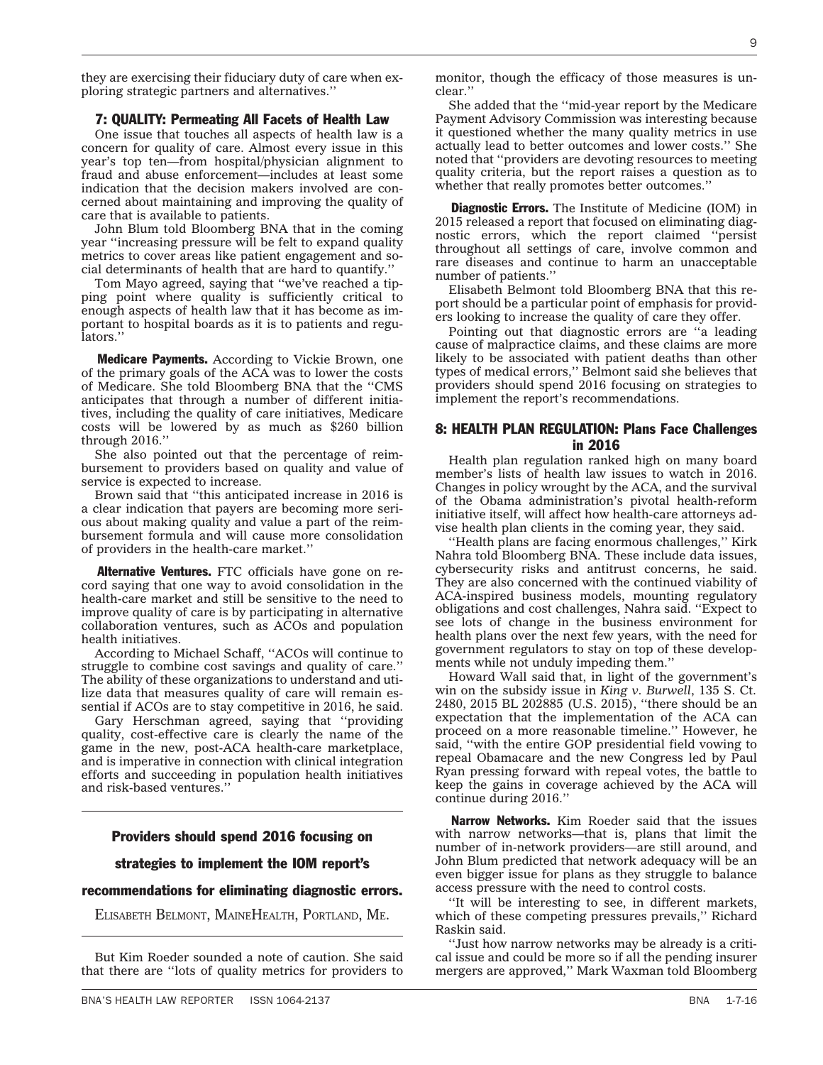BNA'S HEALTH LAW REPORTER ISSN 1064-2137 SALE AND THE SERVICE STATES IN THE SERVICE STATES IN THE SERVICE STATES IN THE SERVICE STATES IN THE SERVICE STATES IN THE SERVICE STATES IN THE SERVICE STATES IN THE SERVICE STATES

they are exercising their fiduciary duty of care when exploring strategic partners and alternatives.''

#### 7: QUALITY: Permeating All Facets of Health Law

One issue that touches all aspects of health law is a concern for quality of care. Almost every issue in this year's top ten—from hospital/physician alignment to fraud and abuse enforcement—includes at least some indication that the decision makers involved are concerned about maintaining and improving the quality of care that is available to patients.

John Blum told Bloomberg BNA that in the coming year ''increasing pressure will be felt to expand quality metrics to cover areas like patient engagement and social determinants of health that are hard to quantify.''

Tom Mayo agreed, saying that ''we've reached a tipping point where quality is sufficiently critical to enough aspects of health law that it has become as important to hospital boards as it is to patients and regulators.''

**Medicare Payments.** According to Vickie Brown, one of the primary goals of the ACA was to lower the costs of Medicare. She told Bloomberg BNA that the ''CMS anticipates that through a number of different initiatives, including the quality of care initiatives, Medicare costs will be lowered by as much as \$260 billion through 2016.''

She also pointed out that the percentage of reimbursement to providers based on quality and value of service is expected to increase.

Brown said that ''this anticipated increase in 2016 is a clear indication that payers are becoming more serious about making quality and value a part of the reimbursement formula and will cause more consolidation of providers in the health-care market.''

Alternative Ventures. FTC officials have gone on record saying that one way to avoid consolidation in the health-care market and still be sensitive to the need to improve quality of care is by participating in alternative collaboration ventures, such as ACOs and population health initiatives.

According to Michael Schaff, ''ACOs will continue to struggle to combine cost savings and quality of care.'' The ability of these organizations to understand and utilize data that measures quality of care will remain essential if ACOs are to stay competitive in 2016, he said.

Gary Herschman agreed, saying that ''providing quality, cost-effective care is clearly the name of the game in the new, post-ACA health-care marketplace, and is imperative in connection with clinical integration efforts and succeeding in population health initiatives and risk-based ventures.''

### Providers should spend 2016 focusing on

#### strategies to implement the IOM report's

### recommendations for eliminating diagnostic errors.

ELISABETH BELMONT, MAINEHEALTH, PORTLAND, ME.

But Kim Roeder sounded a note of caution. She said that there are ''lots of quality metrics for providers to

monitor, though the efficacy of those measures is unclear.''

She added that the ''mid-year report by the Medicare Payment Advisory Commission was interesting because it questioned whether the many quality metrics in use actually lead to better outcomes and lower costs.'' She noted that ''providers are devoting resources to meeting quality criteria, but the report raises a question as to whether that really promotes better outcomes.''

**Diagnostic Errors.** The Institute of Medicine (IOM) in 2015 released a report that focused on eliminating diagnostic errors, which the report claimed ''persist throughout all settings of care, involve common and rare diseases and continue to harm an unacceptable number of patients.''

Elisabeth Belmont told Bloomberg BNA that this report should be a particular point of emphasis for providers looking to increase the quality of care they offer.

Pointing out that diagnostic errors are ''a leading cause of malpractice claims, and these claims are more likely to be associated with patient deaths than other types of medical errors,'' Belmont said she believes that providers should spend 2016 focusing on strategies to implement the report's recommendations.

### 8: HEALTH PLAN REGULATION: Plans Face Challenges in 2016

Health plan regulation ranked high on many board member's lists of health law issues to watch in 2016. Changes in policy wrought by the ACA, and the survival of the Obama administration's pivotal health-reform initiative itself, will affect how health-care attorneys advise health plan clients in the coming year, they said.

''Health plans are facing enormous challenges,'' Kirk Nahra told Bloomberg BNA. These include data issues, cybersecurity risks and antitrust concerns, he said. They are also concerned with the continued viability of ACA-inspired business models, mounting regulatory obligations and cost challenges, Nahra said. ''Expect to see lots of change in the business environment for health plans over the next few years, with the need for government regulators to stay on top of these developments while not unduly impeding them.''

Howard Wall said that, in light of the government's win on the subsidy issue in *King v. Burwell*, 135 S. Ct. 2480, 2015 BL 202885 (U.S. 2015), ''there should be an expectation that the implementation of the ACA can proceed on a more reasonable timeline.'' However, he said, ''with the entire GOP presidential field vowing to repeal Obamacare and the new Congress led by Paul Ryan pressing forward with repeal votes, the battle to keep the gains in coverage achieved by the ACA will continue during 2016.''

Narrow Networks. Kim Roeder said that the issues with narrow networks—that is, plans that limit the number of in-network providers—are still around, and John Blum predicted that network adequacy will be an even bigger issue for plans as they struggle to balance access pressure with the need to control costs.

''It will be interesting to see, in different markets, which of these competing pressures prevails,'' Richard Raskin said.

''Just how narrow networks may be already is a critical issue and could be more so if all the pending insurer mergers are approved,'' Mark Waxman told Bloomberg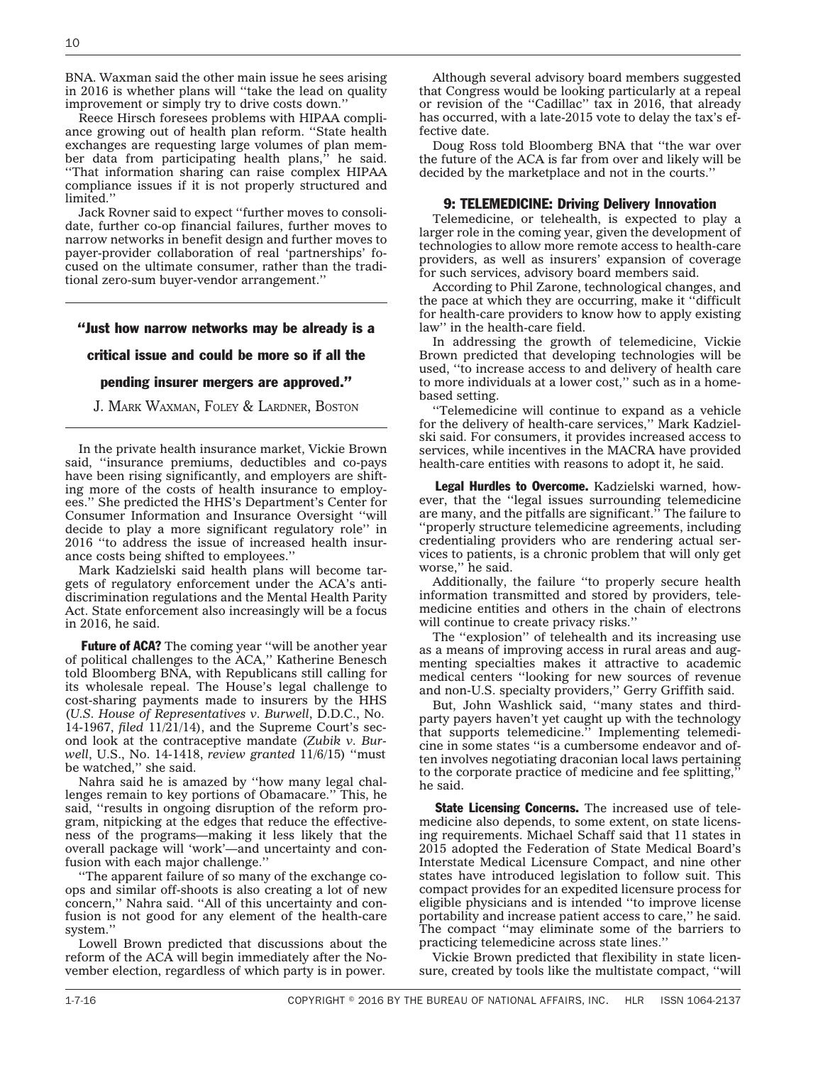BNA. Waxman said the other main issue he sees arising in 2016 is whether plans will ''take the lead on quality improvement or simply try to drive costs down.''

Reece Hirsch foresees problems with HIPAA compliance growing out of health plan reform. ''State health exchanges are requesting large volumes of plan member data from participating health plans,<sup>5</sup> he said. ''That information sharing can raise complex HIPAA compliance issues if it is not properly structured and limited.''

Jack Rovner said to expect ''further moves to consolidate, further co-op financial failures, further moves to narrow networks in benefit design and further moves to payer-provider collaboration of real 'partnerships' focused on the ultimate consumer, rather than the traditional zero-sum buyer-vendor arrangement.''

### ''Just how narrow networks may be already is a

#### critical issue and could be more so if all the

#### pending insurer mergers are approved.''

J. MARK WAXMAN, FOLEY & LARDNER, BOSTON

In the private health insurance market, Vickie Brown said, ''insurance premiums, deductibles and co-pays have been rising significantly, and employers are shifting more of the costs of health insurance to employees.'' She predicted the HHS's Department's Center for Consumer Information and Insurance Oversight ''will decide to play a more significant regulatory role'' in 2016 ''to address the issue of increased health insurance costs being shifted to employees.''

Mark Kadzielski said health plans will become targets of regulatory enforcement under the ACA's antidiscrimination regulations and the Mental Health Parity Act. State enforcement also increasingly will be a focus in 2016, he said.

Future of ACA? The coming year "will be another year of political challenges to the ACA,'' Katherine Benesch told Bloomberg BNA, with Republicans still calling for its wholesale repeal. The House's legal challenge to cost-sharing payments made to insurers by the HHS (*U.S. House of Representatives v. Burwell*, D.D.C., No. 14-1967, *filed* 11/21/14), and the Supreme Court's second look at the contraceptive mandate (*Zubik v. Burwell*, U.S., No. 14-1418, *review granted* 11/6/15) ''must be watched,'' she said.

Nahra said he is amazed by ''how many legal challenges remain to key portions of Obamacare.'' This, he said, ''results in ongoing disruption of the reform program, nitpicking at the edges that reduce the effectiveness of the programs—making it less likely that the overall package will 'work'—and uncertainty and confusion with each major challenge.''

''The apparent failure of so many of the exchange coops and similar off-shoots is also creating a lot of new concern,'' Nahra said. ''All of this uncertainty and confusion is not good for any element of the health-care system.''

Lowell Brown predicted that discussions about the reform of the ACA will begin immediately after the November election, regardless of which party is in power.

Although several advisory board members suggested that Congress would be looking particularly at a repeal or revision of the ''Cadillac'' tax in 2016, that already has occurred, with a late-2015 vote to delay the tax's effective date.

Doug Ross told Bloomberg BNA that ''the war over the future of the ACA is far from over and likely will be decided by the marketplace and not in the courts.''

### 9: TELEMEDICINE: Driving Delivery Innovation

Telemedicine, or telehealth, is expected to play a larger role in the coming year, given the development of technologies to allow more remote access to health-care providers, as well as insurers' expansion of coverage for such services, advisory board members said.

According to Phil Zarone, technological changes, and the pace at which they are occurring, make it ''difficult for health-care providers to know how to apply existing law'' in the health-care field.

In addressing the growth of telemedicine, Vickie Brown predicted that developing technologies will be used, ''to increase access to and delivery of health care to more individuals at a lower cost,'' such as in a homebased setting.

''Telemedicine will continue to expand as a vehicle for the delivery of health-care services,'' Mark Kadzielski said. For consumers, it provides increased access to services, while incentives in the MACRA have provided health-care entities with reasons to adopt it, he said.

Legal Hurdles to Overcome. Kadzielski warned, however, that the ''legal issues surrounding telemedicine are many, and the pitfalls are significant.'' The failure to ''properly structure telemedicine agreements, including credentialing providers who are rendering actual services to patients, is a chronic problem that will only get worse,'' he said.

Additionally, the failure ''to properly secure health information transmitted and stored by providers, telemedicine entities and others in the chain of electrons will continue to create privacy risks.''

The ''explosion'' of telehealth and its increasing use as a means of improving access in rural areas and augmenting specialties makes it attractive to academic medical centers ''looking for new sources of revenue and non-U.S. specialty providers,'' Gerry Griffith said.

But, John Washlick said, ''many states and thirdparty payers haven't yet caught up with the technology that supports telemedicine.'' Implementing telemedicine in some states ''is a cumbersome endeavor and often involves negotiating draconian local laws pertaining to the corporate practice of medicine and fee splitting,'' he said.

State Licensing Concerns. The increased use of telemedicine also depends, to some extent, on state licensing requirements. Michael Schaff said that 11 states in 2015 adopted the Federation of State Medical Board's Interstate Medical Licensure Compact, and nine other states have introduced legislation to follow suit. This compact provides for an expedited licensure process for eligible physicians and is intended ''to improve license portability and increase patient access to care,'' he said. The compact ''may eliminate some of the barriers to practicing telemedicine across state lines.''

Vickie Brown predicted that flexibility in state licensure, created by tools like the multistate compact, ''will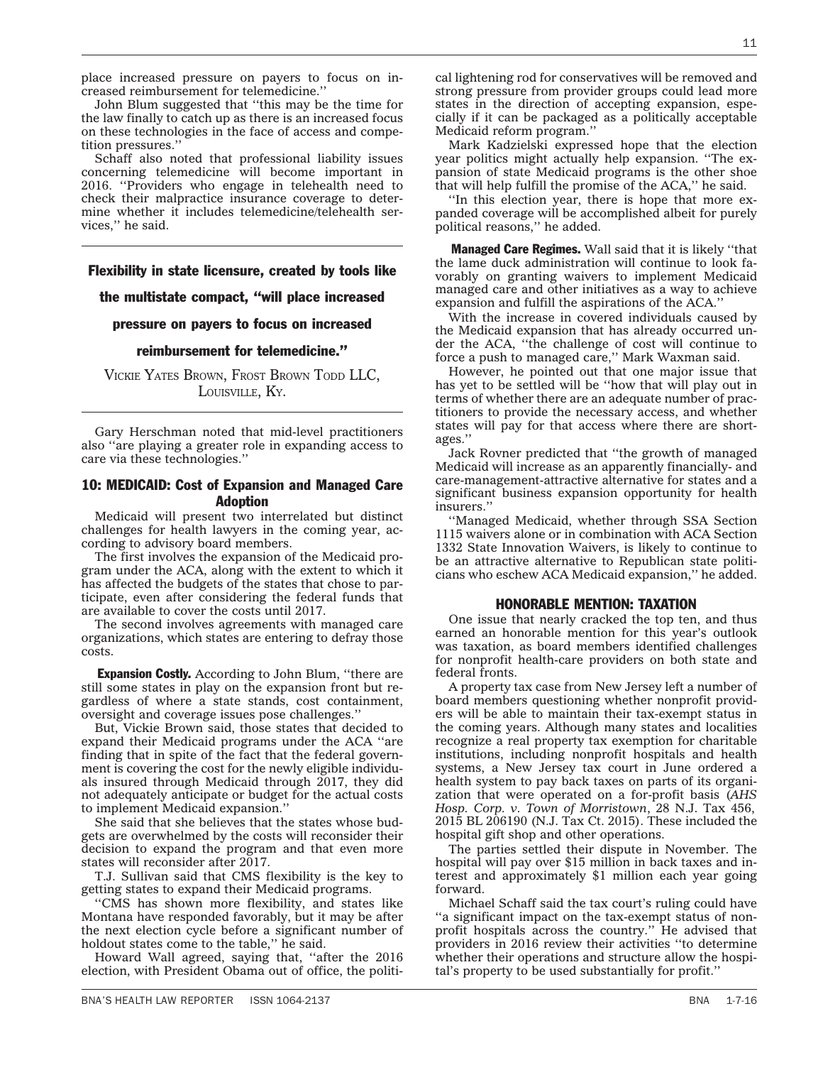place increased pressure on payers to focus on increased reimbursement for telemedicine.''

John Blum suggested that ''this may be the time for the law finally to catch up as there is an increased focus on these technologies in the face of access and competition pressures.''

Schaff also noted that professional liability issues concerning telemedicine will become important in 2016. ''Providers who engage in telehealth need to check their malpractice insurance coverage to determine whether it includes telemedicine/telehealth services,'' he said.

### Flexibility in state licensure, created by tools like

### the multistate compact, ''will place increased

### pressure on payers to focus on increased

#### reimbursement for telemedicine.''

VICKIE YATES BROWN, FROST BROWN TODD LLC, LOUISVILLE, KY.

Gary Herschman noted that mid-level practitioners also ''are playing a greater role in expanding access to care via these technologies.''

### 10: MEDICAID: Cost of Expansion and Managed Care Adoption

Medicaid will present two interrelated but distinct challenges for health lawyers in the coming year, according to advisory board members.

The first involves the expansion of the Medicaid program under the ACA, along with the extent to which it has affected the budgets of the states that chose to participate, even after considering the federal funds that are available to cover the costs until 2017.

The second involves agreements with managed care organizations, which states are entering to defray those costs.

**Expansion Costly.** According to John Blum, "there are still some states in play on the expansion front but regardless of where a state stands, cost containment, oversight and coverage issues pose challenges.''

But, Vickie Brown said, those states that decided to expand their Medicaid programs under the ACA ''are finding that in spite of the fact that the federal government is covering the cost for the newly eligible individuals insured through Medicaid through 2017, they did not adequately anticipate or budget for the actual costs to implement Medicaid expansion.''

She said that she believes that the states whose budgets are overwhelmed by the costs will reconsider their decision to expand the program and that even more states will reconsider after 2017.

T.J. Sullivan said that CMS flexibility is the key to getting states to expand their Medicaid programs.

''CMS has shown more flexibility, and states like Montana have responded favorably, but it may be after the next election cycle before a significant number of holdout states come to the table,'' he said.

Howard Wall agreed, saying that, ''after the 2016 election, with President Obama out of office, the political lightening rod for conservatives will be removed and strong pressure from provider groups could lead more states in the direction of accepting expansion, especially if it can be packaged as a politically acceptable Medicaid reform program.''

Mark Kadzielski expressed hope that the election year politics might actually help expansion. ''The expansion of state Medicaid programs is the other shoe that will help fulfill the promise of the ACA,'' he said.

''In this election year, there is hope that more expanded coverage will be accomplished albeit for purely political reasons,'' he added.

**Managed Care Regimes.** Wall said that it is likely "that the lame duck administration will continue to look favorably on granting waivers to implement Medicaid managed care and other initiatives as a way to achieve expansion and fulfill the aspirations of the ACA.''

With the increase in covered individuals caused by the Medicaid expansion that has already occurred under the ACA, ''the challenge of cost will continue to force a push to managed care,'' Mark Waxman said.

However, he pointed out that one major issue that has yet to be settled will be ''how that will play out in terms of whether there are an adequate number of practitioners to provide the necessary access, and whether states will pay for that access where there are shortages.''

Jack Rovner predicted that ''the growth of managed Medicaid will increase as an apparently financially- and care-management-attractive alternative for states and a significant business expansion opportunity for health insurers.''

''Managed Medicaid, whether through SSA Section 1115 waivers alone or in combination with ACA Section 1332 State Innovation Waivers, is likely to continue to be an attractive alternative to Republican state politicians who eschew ACA Medicaid expansion,'' he added.

#### HONORABLE MENTION: TAXATION

One issue that nearly cracked the top ten, and thus earned an honorable mention for this year's outlook was taxation, as board members identified challenges for nonprofit health-care providers on both state and federal fronts.

A property tax case from New Jersey left a number of board members questioning whether nonprofit providers will be able to maintain their tax-exempt status in the coming years. Although many states and localities recognize a real property tax exemption for charitable institutions, including nonprofit hospitals and health systems, a New Jersey tax court in June ordered a health system to pay back taxes on parts of its organization that were operated on a for-profit basis (*AHS Hosp. Corp. v. Town of Morristown*, 28 N.J. Tax 456, 2015 BL 206190 (N.J. Tax Ct. 2015). These included the hospital gift shop and other operations.

The parties settled their dispute in November. The hospital will pay over \$15 million in back taxes and interest and approximately \$1 million each year going forward.

Michael Schaff said the tax court's ruling could have ''a significant impact on the tax-exempt status of nonprofit hospitals across the country.'' He advised that providers in 2016 review their activities ''to determine whether their operations and structure allow the hospital's property to be used substantially for profit.''